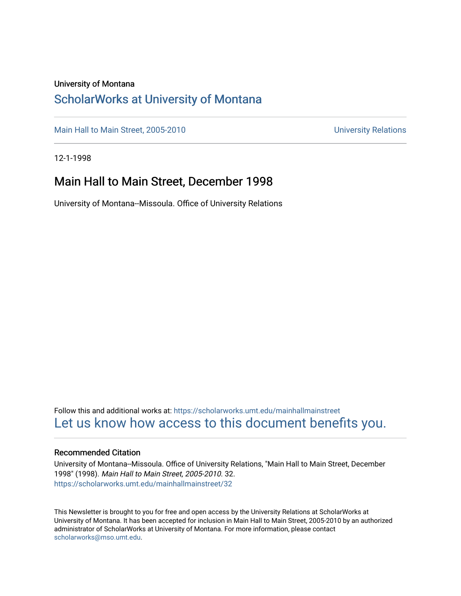#### University of Montana

#### [ScholarWorks at University of Montana](https://scholarworks.umt.edu/)

[Main Hall to Main Street, 2005-2010](https://scholarworks.umt.edu/mainhallmainstreet) Main Hall to Main Street, 2005-2010

12-1-1998

#### Main Hall to Main Street, December 1998

University of Montana--Missoula. Office of University Relations

Follow this and additional works at: [https://scholarworks.umt.edu/mainhallmainstreet](https://scholarworks.umt.edu/mainhallmainstreet?utm_source=scholarworks.umt.edu%2Fmainhallmainstreet%2F32&utm_medium=PDF&utm_campaign=PDFCoverPages) [Let us know how access to this document benefits you.](https://goo.gl/forms/s2rGfXOLzz71qgsB2) 

#### Recommended Citation

University of Montana--Missoula. Office of University Relations, "Main Hall to Main Street, December 1998" (1998). Main Hall to Main Street, 2005-2010. 32. [https://scholarworks.umt.edu/mainhallmainstreet/32](https://scholarworks.umt.edu/mainhallmainstreet/32?utm_source=scholarworks.umt.edu%2Fmainhallmainstreet%2F32&utm_medium=PDF&utm_campaign=PDFCoverPages) 

This Newsletter is brought to you for free and open access by the University Relations at ScholarWorks at University of Montana. It has been accepted for inclusion in Main Hall to Main Street, 2005-2010 by an authorized administrator of ScholarWorks at University of Montana. For more information, please contact [scholarworks@mso.umt.edu.](mailto:scholarworks@mso.umt.edu)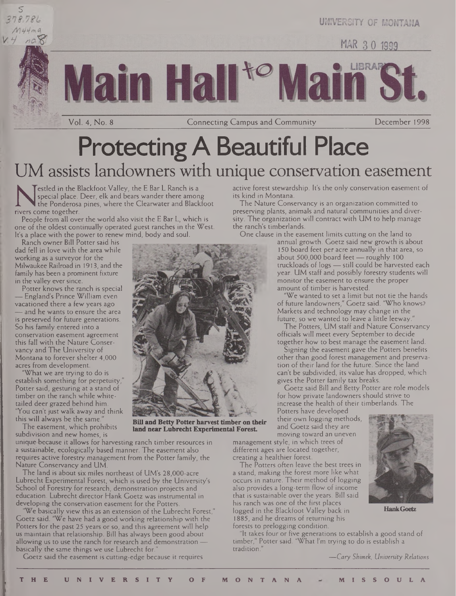s



LIBRAR **H**a

Vol. 4, No. 8 Connecting Campus and Community December 1998

UNIVERSITY OF MONTANA

MAR 30 1999

# **Protecting A Beautiful Place** UM assists landowners with unique conservation easement

special place. Deer, e<br>the Ponderosa pines,<br>rivers come together.<br>People from all over the w Testled in the Blackfoot Valley, the E Bar L Ranch is a special place. Deer, elk and bears wander there among the Ponderosa pines, where the Clearwater and Blackfoot

People from all over the world also visit the E Bar L, which is one of the oldest continually operated guest ranches in the West. It's a place with the power to renew mind, body and soul.

Ranch owner Bill Potter said his dad fell in love with the area while working as a surveyor for the Milwaukee Railroad in 1913, and the family has been a prominent fixture in the valley ever since.

Potter knows the ranch is special — England's Prince William even vacationed there a few years ago — and he wants to ensure the area is preserved for future generations. So his family entered into a conservation easement agreement this fall with the Nature Conservancy and The University of Montana to forever shelter 4,000 acres from development.

"What we are trying to do is establish something for perpetuity," Potter said, gesturing at a stand of timber on the ranch while whitetailed deer grazed behind him. "You can't just walk away and think this will always be the same."

The easement, which prohibits subdivision and new homes, is

unique because it allows for harvesting ranch timber resources in a sustainable, ecologically based manner. The easement also requires active forestry management from the Potter family, the Nature Conservancy and UM.

The land is about six miles northeast of UM's 28,000-acre Lubrecht Experimental Forest, which is used by the University's School of Forestry for research, demonstration projects and education. Lubrecht director Hank Goetz was instrumental in developing the conservation easement for the Potters.

'We basically view this as an extension of the Lubrecht Forest," Goetz said. 'We have had a good working relationship with the Potters for the past 25 years or so, and this agreement will help us maintain that relationship. Bill has always been good about allowing us to use the ranch for research and demonstration basically the same things we use Lubrecht for.

Goetz said the easement is cutting-edge because it requires



**Bill and Betty Potter harvesttimber on their land near Lubrecht Experimental Forest.**

active forest stewardship. It's the only conservation easement of its kind in Montana.

The Nature Conservancy is an organization committed to preserving plants, animals and natural communities and diversity. The organization will contract with UM to help manage the ranch's timberlands.

One clause in the easement limits cutting on the land to

annual growth. Goetz said new growth is about 150 board feet per acre annually in that area, so about 500,000 board feet — roughly 100 truckloads of logs — still could be harvested each year. UM staff and possibly forestry students will monitor the easement to ensure the proper amount of timber is harvested.

"We wanted to set a limit but not tie the hands of future landowners," Goetz said. "Who knows? Markets and technology may change in the future, so we wanted to leave a little leeway."

The Potters, UM staff and Nature Conservancy officials will meet every September to decide together how to best manage the easement land.

Signing the easement gave the Potters benefits other than good forest management and preservation of their land for the future. Since the land can't be subdivided, its value has dropped, which gives the Potter family tax breaks.

Goetz said Bill and Betty Potter are role models for how private landowners should strive to increase the health of their timberlands. The Potters have developed

their own logging methods, and Goetz said they are moving toward an uneven

management style, in which trees of different ages are located together, creating a healthier forest.

The Potters often leave the best trees in a stand, making the forest more like what occurs in nature. Their method of logging also provides a long-term flow of income that is sustainable over the years. Bill said his ranch was one of the first places logged in the Blackfoot Valley back in **HankGoetz** 1885, and he dreams of returning his forests to prelogging condition.

"It takes four or five generations to establish a good stand of timber," Potter said. 'What I'm trying to do is establish a tradition."

*—Cary Shimek, University Relations*

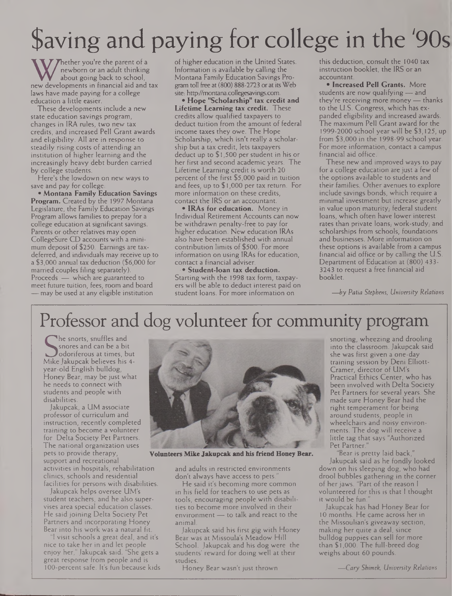# Saving and paying for college in the '90s

W newborn or an adult thinking<br>hout going back to school, Mor<br>hout developments in financial aid and tax gram<br>laws have made paying for a college site. hether you're the parent of a newborn or an adult thinking about going back to school, laws have made paying for a college education a little easier.

These developments include a new state education savings program, changes in IRA rules, two new tax credits, and increased Pell Grant awards and eligibility. All are in response to steadily rising costs of attending an institution of higher learning and the increasingly heavy debt burden carried by college students.

Here's the lowdown on new ways to save and pay for college:

**\* Montana Family Education Savings Program.** Created by the 1997 Montana Legislature, the Family Education Savings Program allows families to prepay for a college education at significant savings. Parents or other relatives may open CollegeSure CD accounts with a minimum deposit of \$250. Earnings are taxdeferred, and individuals may receive up to a \$3,000 annual tax deduction (\$6,000 for married couples filing separately). Proceeds — which are guaranteed to meet future tuition, fees, room and board — may be used at any eligible institution

of higher education in the United States. Information is available by calling the Montana Family Education Savings Program toll free at (800) 888-2723 or at its Web site: http://montana.collegesavings.com

**• Hope "Scholarship" tax credit and Lifetime Learning tax credit.** These credits allow qualified taxpayers to deduct tuition from the amount of federal income taxes they owe. The Hope Scholarship, which isn't really a scholarship but a tax credit, lets taxpayers deduct up to \$ 1,500 per student in his or her first and second academic years. The Lifetime Learning credit is worth 20 percent of the first \$5,000 paid in tuition and fees, up to \$1,000 per tax return. For more information on these credits, contact the IRS or an accountant.

**• IRAs for education.** Money in Individual Retirement Accounts can now be withdrawn penalty-free to pay for higher education. New education IRAs also have been established with annual contribution limits of \$500. For more information on using IRAs for education, contact a financial adviser.

**• Student-loan tax deduction.** Starting with the 1998 tax form, taxpayers will be able to deduct interest paid on student Ioans. For more information on

this deduction, consult the 1040 tax instruction booklet, the IRS or an accountant.

**• Increased Pell Grants.** More students are now qualifying — and they're receiving more money — thanks to the U.S. Congress, which has expanded eligibility and increased awards. The maximum Pell Grant award for the 1999-2000 school year will be \$3,125, up from \$3,000 in the 1998-99 school year. For more information, contact a campus financial aid office.

These new and improved ways to pay for a college education are just a few of the options available to students and their families. Other avenues to explore include savings bonds, which require a minimal investment but increase greatly in value upon maturity, federal student loans, which often have lower interest rates than private loans, work-study, and scholarships from schools, foundations and businesses. More information on these options is available from a campus financial aid office or by calling the U.S. Department of Education at (800) 433- 3243 to request a free financial aid booklet.

*—by Patia Stephens, University Relations*

# Professor and dog volunteer for community program

Shores and can be a bit<br>Mike Jakupcak believes his 4-<br>Mike Jakupcak believes his 4he snorts, snuffles and snores and can be a bit odoriferous at times, but year-old English bulldog, Honey Bear, may be just what he needs to connect with students and people with disabilities.

Jakupcak, a UM associate professor of curriculum and instruction, recently completed training to become a volunteer for Delta Society Pet Partners. The national organization uses pets to provide therapy, support and recreational activities in hospitals, rehabilitation clinics, schools and residential facilities for persons with disabilities.

Jakupcak helps oversee UM's student teachers, and he also supervises area special education classes. He said joining Delta Society Pet Partners and incorporating Honey Bear into his work was a natural fit.

I visit schools a great deal, and it's nice to take her in and let people enjoy her," Jakupcak said. "She gets a great response from people and is 100-percent safe. It's fun because kids



**Volunteers Mike Jakupcak and his triend Honey Bear.**

and adults in restricted environments don't always have access to pets.

He said it's becoming more common in his field for teachers to use pets as tools, encouraging people with disabilities to become more involved in their environment — to talk and react to the animal.

Jakupcak said his first gig with Honey Bear was at Missoula's Meadow Hill School. Jakupcak and his dog were the students' reward for doing well at their studies.

Honey Bear wasn't just thrown

snorting, wheezing and drooling into the classroom.Jakupcak said she was first given a one-day training session by Deni Elliott-Cramer, director of UM's Practical Ethics Center, who has been involved with Delta Society Pet Partners for several years. She made sure Honey Bear had the right temperament for being around students, people in wheelchairs and noisy environments. The dog will receive a little tag that says "Authorized Pet Partner."

"Bear is pretty laid back," Jakupcak said as he fondly looked down on his sleeping dog, who had drool bubbles gathering in the corner of her jaws. "Part of the reason I volunteered for this is that <sup>I</sup> thought it would be fun.

Jakupcak has had Honey Bear for 10 months. He came across her in the Missoulian's giveaway section, making her quite a deal, since bulldog puppies can sell for more than \$1,000. The full-breed dog weighs about 60 pounds.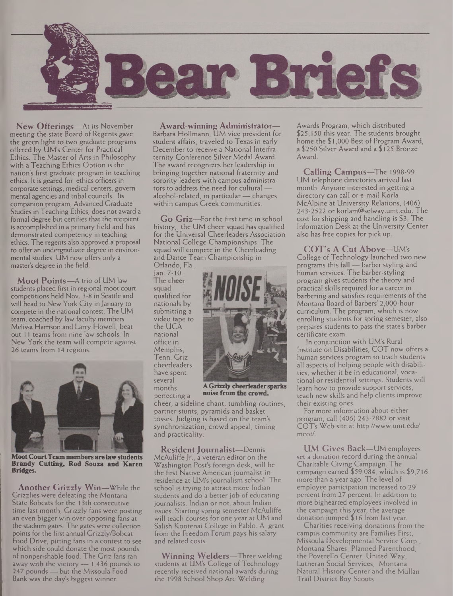

**New Offerings—**At its November meeting the state Board of Regents gave the green light to two graduate programs offered by UM's Center for Practical Ethics. The Master of Arts in Philosophy with a Teaching Ethics Option is the nation's first graduate program in teaching ethics. It is geared for ethics officers in corporate settings, medical centers, governmental agencies and tribal councils. Its companion program, Advanced Graduate Studies in Teaching Ethics, does not award a formal degree but certifies that the recipient is accomplished in a primary field and has demonstrated competency in teaching ethics. The regents also approved a proposal to offer an undergraduate degree in environmental studies. UM now offers only a master's degree in the field.

**Moot Points—**A trio of UM law students placed first in regional moot court competitions held Nov. 3-8 in Seattle and will head to New York City in January to compete in the national contest. The UM team, coached by law faculty members Melissa Harrison and Larry Howell, beat out <sup>11</sup> teams from nine law schools. In New York the team will compete against 26 teams from 14 regions.



**MootCourtTeam members are lawstudents Brandy Cutting, Rod Souza and Karen Bridges.**

**Another Grizzly Win—**While the Grizzlies were defeating the Montana State Bobcats for the 13th consecutive time last month, Grizzly fans were posting an even bigger win over opposing fans at the stadium gates. The gates were collection points for the first annual Grizzly/Bobcat Food Drive, pitting fans in a contest to see which side could donate the most pounds of nonperishable food. The Griz fans ran away with the victory — 1,436 pounds to 247 pounds — but the Missoula Food Bank was the day's biggest winner.

**Award-winning Administrator—** Barbara Hollmann, UM vice president for student affairs, traveled to Texas in early December to receive a National Interfraternity Conference Silver Medal Award. The award recognizes her leadership in bringing together national fraternity and sorority leaders with campus administrators to address the need for cultural alcohol-related, in particular— changes within campus Greek communities.

**Go Griz—**For the first time in school history, the UM cheer squad has qualified for the Universal Cheerleaders Association National College Championships. The squad will compete in the Cheerleading and Dance Team Championship in

Orlando, Fla.,<br>Jan. 7-10. **squad**<br>qualified for nationals by submitting a video tape to the UCA national office in Memphis, Tenn. Griz cheerleaders have spent several perfecting a



months **AGrizzly cheerleadersparks**

cheer, a sideline chant, tumbling routines, partner stunts, pyramids and basket tosses. Judging is based on the team's synchronization, crowd appeal, timing and practicality.

**Resident Journalist—**Dennis McAuliffe Jr., a veteran editor on the Washington Post's foreign desk, will be the first Native American journalist-inresidence at UM's journalism school. The school is trying to attract more Indian students and do a better job of educating journalists, Indian or not, about Indian issues. Starting spring semester McAuliffe will teach courses for one year at UM and Salish Kootenai College in Pablo. A grant from the Freedom Forum pays his salary and related costs.

**Winning Welders—**Three welding students at UM's College of Technology recently received national awards during the 1998 School Shop Arc Welding

Awards Program, which distributed \$25,150 this year. The students brought home the \$1,000 Best of Program Award, a \$250 Silver Award and a \$125 Bronze Award.

**Calling Campus—**The 1998-99 UM telephone directories arrived last month. Anyone interested in getting a directory can call or e-mail Korla McAlpine at University Relations, (406) 243-2522 or korlam@selway.umt.edu. The cost for shipping and handling is \$3. The Information Desk at the University Center also has free copies for pick up.

**COT's A Cut Above—**UM's College of Technology launched two new programs this fall — barber styling and human services. The barber-styling program gives students the theory and practical skills required for a career in barbering and satisfies requirements of the Montana Board of Barbers' 2,000-hour curriculum. The program, which is now enrolling students for spring semester, also prepares students to pass the state's barber certificate exam.

In conjunction with UM's Rural Institute on Disabilities, COT now offers a human services program to teach students all aspects of helping people with disabilities, whether it be in educational, vocational or residential settings. Students will learn how to provide support services, teach new skills and help clients improve their existing ones.

For more information about either program, call (406) 243-7882 or visit COT's Web site at <http://www.umt.edu/> mcot/.

**UM Gives Back—-**UM employees set a donation record during the annual Charitable Giving Campaign. The campaign earned \$59,084, which is \$9,716 more-than a year ago. The level of employee participation increased to 29 percent from 27 percent. In addition to more bighearted employees involved in the campaign this year, the average donation jumped \$ 16 from last year.

Charities receiving donations from the campus community are Families First, Missoula Developmental Service Corp., Montana Shares, Planned Parenthood, the Poverello Center, United Way, Lutheran Social Services, Montana Natural History Center and the Mullan Trail District Boy Scouts.